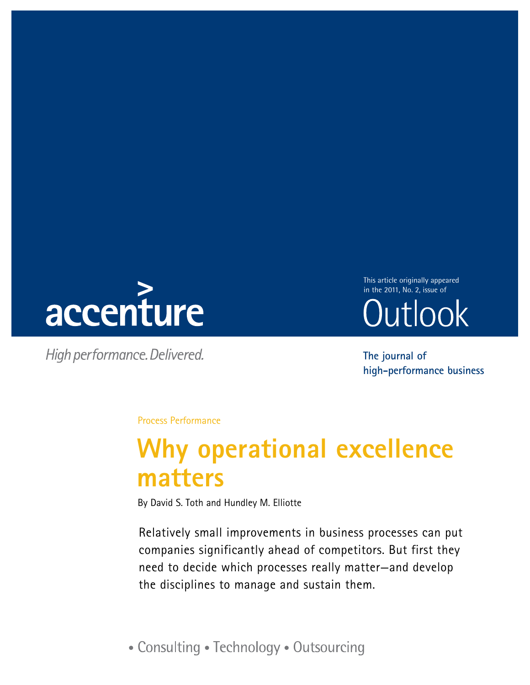

High performance. Delivered.

This article originally appeared in the 2011, No. 2, issue ofOutlook

**The journal of high-performance business**

Process Performance

# **Why operational excellence matters**

By David S. Toth and Hundley M. Elliotte

Relatively small improvements in business processes can put companies significantly ahead of competitors. But first they need to decide which processes really matter—and develop the disciplines to manage and sustain them.

• Consulting • Technology • Outsourcing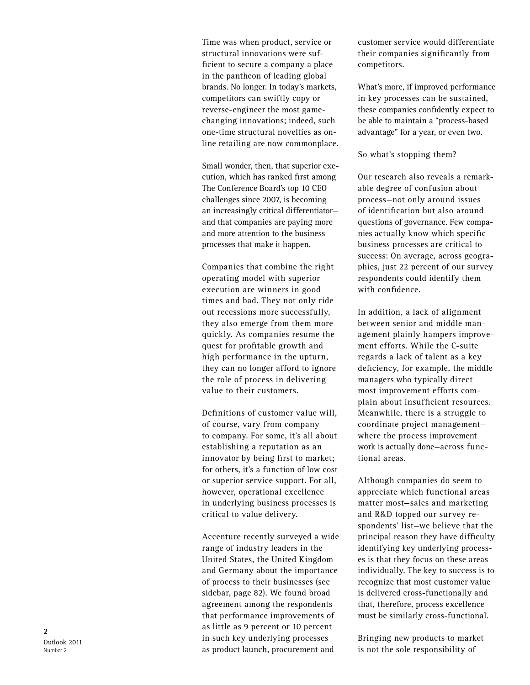Time was when product, service or structural innovations were sufficient to secure a company a place in the pantheon of leading global brands. No longer. In today's markets, competitors can swiftly copy or reverse-engineer the most gamechanging innovations; indeed, such one-time structural novelties as on line retailing are now commonplace.

Small wonder, then, that superior exe cution, which has ranked first among The Conference Board's top 10 CEO challenges since 2007, is becoming an increasingly critical differentiator and that companies are paying more and more attention to the business processes that make it happen.

Companies that combine the right operating model with superior execution are winners in good times and bad. They not only ride out recessions more successfully, they also emerge from them more quickly. As companies resume the quest for profitable growth and high performance in the upturn, they can no longer afford to ignore the role of process in delivering value to their customers.

Definitions of customer value will, of course, vary from company to company. For some, it's all about establishing a reputation as an innovator by being first to market; for others, it's a function of low cost or superior service support. For all, however, operational excellence in underlying business processes is critical to value delivery.

Accenture recently surveyed a wide range of industry leaders in the United States, the United Kingdom and Germany about the importance of process to their businesses (see sidebar, page 82). We found broad agreement among the respondents that performance improvements of as little as 9 percent or 10 percent in such key underlying processes as product launch, procurement and

customer service would differentiate their companies significantly from competitors.

What's more, if improved performance in key processes can be sustained, these companies confidently expect to be able to maintain a "process-based advantage" for a year, or even two.

So what's stopping them?

Our research also reveals a remark able degree of confusion about process—not only around issues of identification but also around questions of governance. Few compa nies actually know which specific business processes are critical to success: On average, across geogra phies, just 22 percent of our survey respondents could identify them with confidence.

In addition, a lack of alignment between senior and middle man agement plainly hampers improve ment efforts. While the C-suite regards a lack of talent as a key deficiency, for example, the middle managers who typically direct most improvement efforts com plain about insufficient resources. Meanwhile, there is a struggle to coordinate project management where the process improvement work is actually done—across func tional areas.

Although companies do seem to appreciate which functional areas matter most—sales and marketing and R&D topped our survey re spondents' list—we believe that the principal reason they have difficulty identifying key underlying process es is that they focus on these areas individually. The key to success is to recognize that most customer value is delivered cross-functionally and that, therefore, process excellence must be similarly cross-functional.

Bringing new products to market is not the sole responsibility of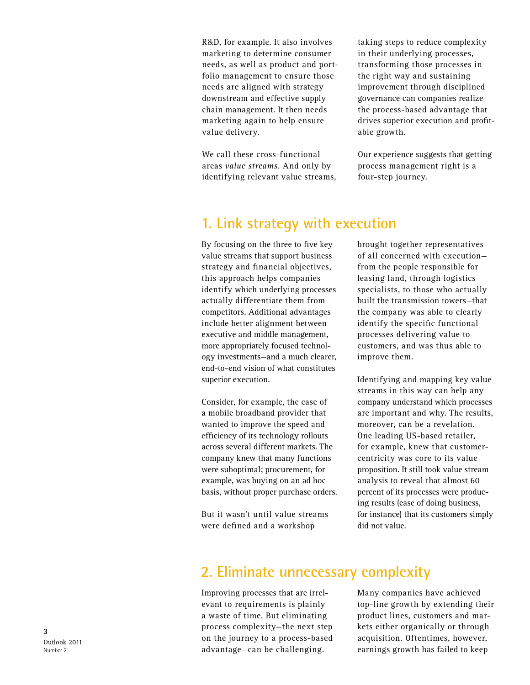R&D, for example. It also involves marketing to determine consumer needs, as well as product and portfolio management to ensure those needs are aligned with strategy downstream and effective supply chain management. It then needs marketing again to help ensure value delivery.

We call these cross-functional areas *value streams*. And only by identifying relevant value streams,

taking steps to reduce complexity in their underlying processes, transforming those processes in the right way and sustaining improvement through disciplined governance can companies realize the process-based advantage that drives superior execution and profitable growth.

Our experience suggests that getting process management right is a four-step journey.

## **1. Link strategy with execution**

By focusing on the three to five key value streams that support business strategy and financial objectives, this approach helps companies identify which underlying processes actually differentiate them from competitors. Additional advantages include better alignment between executive and middle management, more appropriately focused technology investments—and a much clearer, end-to-end vision of what constitutes superior execution.

Consider, for example, the case of a mobile broadband provider that wanted to improve the speed and efficiency of its technology rollouts across several different markets. The company knew that many functions were suboptimal; procurement, for example, was buying on an ad hoc basis, without proper purchase orders.

But it wasn't until value streams were defined and a workshop

brought together representatives of all concerned with execution from the people responsible for leasing land, through logistics specialists, to those who actually built the transmission towers—that the company was able to clearly identify the specific functional processes delivering value to customers, and was thus able to improve them.

Identifying and mapping key value streams in this way can help any company understand which processes are important and why. The results, moreover, can be a revelation. One leading US-based retailer, for example, knew that customercentricity was core to its value proposition. It still took value stream analysis to reveal that almost 60 percent of its processes were producing results (ease of doing business, for instance) that its customers simply did not value.

## **2. Eliminate unnecessary complexity**

Improving processes that are irrelevant to requirements is plainly a waste of time. But eliminating process complexity—the next step on the journey to a process-based advantage—can be challenging.

Many companies have achieved top-line growth by extending their product lines, customers and markets either organically or through acquisition. Oftentimes, however, earnings growth has failed to keep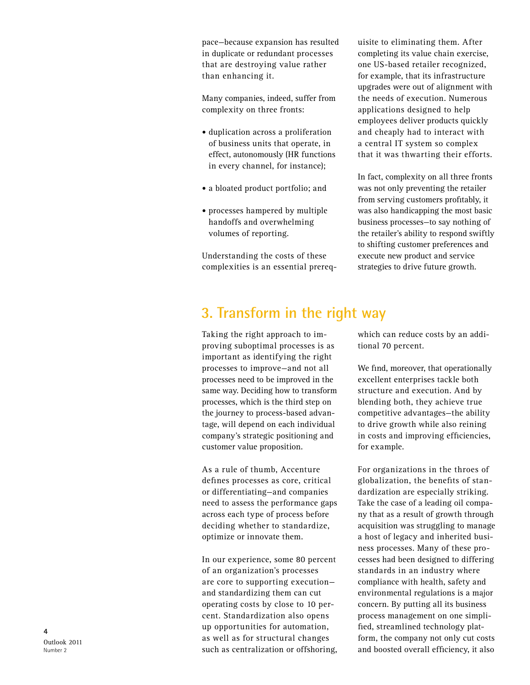pace—because expansion has resulted in duplicate or redundant processes that are destroying value rather than enhancing it.

Many companies, indeed, suffer from complexity on three fronts:

- duplication across a proliferation of business units that operate, in effect, autonomously (HR functions in every channel, for instance);
- a bloated product portfolio; and
- processes hampered by multiple handoffs and overwhelming volumes of reporting.

Understanding the costs of these complexities is an essential prerequisite to eliminating them. After completing its value chain exercise, one US-based retailer recognized, for example, that its infrastructure upgrades were out of alignment with the needs of execution. Numerous applications designed to help employees deliver products quickly and cheaply had to interact with a central IT system so complex that it was thwarting their efforts.

In fact, complexity on all three fronts was not only preventing the retailer from serving customers profitably, it was also handicapping the most basic business processes—to say nothing of the retailer's ability to respond swiftly to shifting customer preferences and execute new product and service strategies to drive future growth.

## **3. Transform in the right way**

Taking the right approach to improving suboptimal processes is as important as identifying the right processes to improve—and not all processes need to be improved in the same way. Deciding how to transform processes, which is the third step on the journey to process-based advantage, will depend on each individual company's strategic positioning and customer value proposition.

As a rule of thumb, Accenture defines processes as core, critical or differentiating—and companies need to assess the performance gaps across each type of process before deciding whether to standardize, optimize or innovate them.

In our experience, some 80 percent of an organization's processes are core to supporting execution and standardizing them can cut operating costs by close to 10 percent. Standardization also opens up opportunities for automation, as well as for structural changes such as centralization or offshoring,

which can reduce costs by an additional 70 percent.

We find, moreover, that operationally excellent enterprises tackle both structure and execution. And by blending both, they achieve true competitive advantages—the ability to drive growth while also reining in costs and improving efficiencies, for example.

For organizations in the throes of globalization, the benefits of standardization are especially striking. Take the case of a leading oil company that as a result of growth through acquisition was struggling to manage a host of legacy and inherited business processes. Many of these processes had been designed to differing standards in an industry where compliance with health, safety and environmental regulations is a major concern. By putting all its business process management on one simplified, streamlined technology platform, the company not only cut costs and boosted overall efficiency, it also

Outlook 2011 Number 2

**4**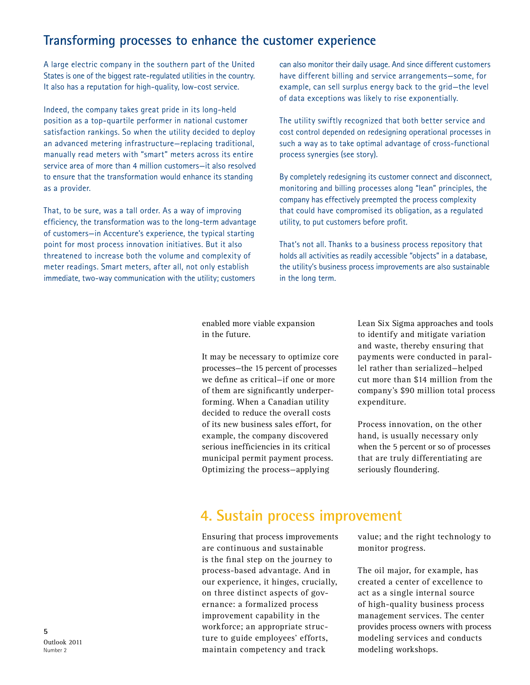#### **Transforming processes to enhance the customer experience**

A large electric company in the southern part of the United States is one of the biggest rate-regulated utilities in the country. It also has a reputation for high-quality, low-cost service.

Indeed, the company takes great pride in its long-held position as a top-quartile performer in national customer satisfaction rankings. So when the utility decided to deploy an advanced metering infrastructure—replacing traditional, manually read meters with "smart" meters across its entire service area of more than 4 million customers—it also resolved to ensure that the transformation would enhance its standing as a provider.

That, to be sure, was a tall order. As a way of improving efficiency, the transformation was to the long-term advantage of customers—in Accenture's experience, the typical starting point for most process innovation initiatives. But it also threatened to increase both the volume and complexity of meter readings. Smart meters, after all, not only establish immediate, two-way communication with the utility; customers

can also monitor their daily usage. And since different customers have different billing and service arrangements—some, for example, can sell surplus energy back to the grid—the level of data exceptions was likely to rise exponentially.

The utility swiftly recognized that both better service and cost control depended on redesigning operational processes in such a way as to take optimal advantage of cross-functional process synergies (see story).

By completely redesigning its customer connect and disconnect, monitoring and billing processes along "lean" principles, the company has effectively preempted the process complexity that could have compromised its obligation, as a regulated utility, to put customers before profit.

That's not all. Thanks to a business process repository that holds all activities as readily accessible "objects" in a database, the utility's business process improvements are also sustainable in the long term.

enabled more viable expansion in the future.

It may be necessary to optimize core processes—the 15 percent of processes we define as critical—if one or more of them are significantly underperforming. When a Canadian utility decided to reduce the overall costs of its new business sales effort, for example, the company discovered serious inefficiencies in its critical municipal permit payment process. Optimizing the process—applying

Lean Six Sigma approaches and tools to identify and mitigate variation and waste, thereby ensuring that payments were conducted in parallel rather than serialized—helped cut more than \$14 million from the company's \$90 million total process expenditure.

Process innovation, on the other hand, is usually necessary only when the 5 percent or so of processes that are truly differentiating are seriously floundering.

### **4. Sustain process improvement**

Ensuring that process improvements are continuous and sustainable is the final step on the journey to process-based advantage. And in our experience, it hinges, crucially, on three distinct aspects of governance: a formalized process improvement capability in the workforce; an appropriate structure to guide employees' efforts, maintain competency and track

value; and the right technology to monitor progress.

The oil major, for example, has created a center of excellence to act as a single internal source of high-quality business process management services. The center provides process owners with process modeling services and conducts modeling workshops.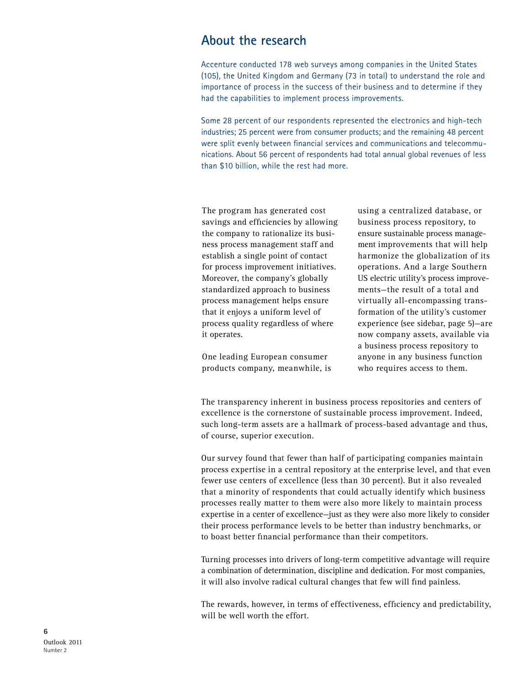#### **About the research**

Accenture conducted 178 web surveys among companies in the United States (105), the United Kingdom and Germany (73 in total) to understand the role and importance of process in the success of their business and to determine if they had the capabilities to implement process improvements.

Some 28 percent of our respondents represented the electronics and high-tech industries; 25 percent were from consumer products; and the remaining 48 percent were split evenly between financial services and communications and telecommunications. About 56 percent of respondents had total annual global revenues of less than \$10 billion, while the rest had more.

The program has generated cost savings and efficiencies by allowing the company to rationalize its business process management staff and establish a single point of contact for process improvement initiatives. Moreover, the company's globally standardized approach to business process management helps ensure that it enjoys a uniform level of process quality regardless of where it operates.

One leading European consumer products company, meanwhile, is using a centralized database, or business process repository, to ensure sustainable process management improvements that will help harmonize the globalization of its operations. And a large Southern US electric utility's process improvements—the result of a total and virtually all-encompassing transformation of the utility's customer experience (see sidebar, page 5)—are now company assets, available via a business process repository to anyone in any business function who requires access to them.

The transparency inherent in business process repositories and centers of excellence is the cornerstone of sustainable process improvement. Indeed, such long-term assets are a hallmark of process-based advantage and thus, of course, superior execution.

Our survey found that fewer than half of participating companies maintain process expertise in a central repository at the enterprise level, and that even fewer use centers of excellence (less than 30 percent). But it also revealed that a minority of respondents that could actually identify which business processes really matter to them were also more likely to maintain process expertise in a center of excellence—just as they were also more likely to consider their process performance levels to be better than industry benchmarks, or to boast better financial performance than their competitors.

Turning processes into drivers of long-term competitive advantage will require a combination of determination, discipline and dedication. For most companies, it will also involve radical cultural changes that few will find painless.

The rewards, however, in terms of effectiveness, efficiency and predictability, will be well worth the effort.